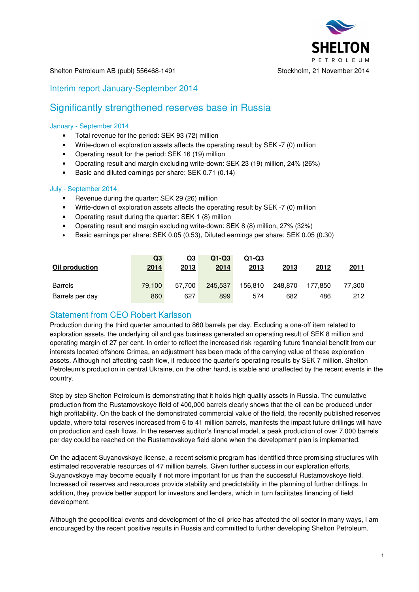

#### Shelton Petroleum AB (publ) 556468-1491 Stockholm, 21 November 2014

### Interim report January-September 2014

# Significantly strengthened reserves base in Russia

#### January - September 2014

- Total revenue for the period: SEK 93 (72) million
- Write-down of exploration assets affects the operating result by SEK -7 (0) million
- Operating result for the period: SEK 16 (19) million
- Operating result and margin excluding write-down: SEK 23 (19) million, 24% (26%)
- Basic and diluted earnings per share: SEK 0.71 (0.14)

#### July - September 2014

- Revenue during the quarter: SEK 29 (26) million
- Write-down of exploration assets affects the operating result by SEK -7 (0) million
- Operating result during the quarter: SEK 1 (8) million
- Operating result and margin excluding write-down: SEK 8 (8) million, 27% (32%)
- Basic earnings per share: SEK 0.05 (0.53), Diluted earnings per share: SEK 0.05 (0.30)

| Oil production  | Q3<br>2014 | Q3<br>2013 | $Q1-Q3$<br>2014 | $Q1-Q3$<br>2013 | 2013    | 2012    | 2011   |
|-----------------|------------|------------|-----------------|-----------------|---------|---------|--------|
| <b>Barrels</b>  | 79.100     | 57.700     | 245,537         | 156.810         | 248.870 | 177.850 | 77.300 |
| Barrels per day | 860        | 627        | 899             | 574             | 682     | 486     | 212    |

### Statement from CEO Robert Karlsson

Production during the third quarter amounted to 860 barrels per day. Excluding a one-off item related to exploration assets, the underlying oil and gas business generated an operating result of SEK 8 million and operating margin of 27 per cent. In order to reflect the increased risk regarding future financial benefit from our interests located offshore Crimea, an adjustment has been made of the carrying value of these exploration assets. Although not affecting cash flow, it reduced the quarter's operating results by SEK 7 million. Shelton Petroleum's production in central Ukraine, on the other hand, is stable and unaffected by the recent events in the country.

Step by step Shelton Petroleum is demonstrating that it holds high quality assets in Russia. The cumulative production from the Rustamovskoye field of 400,000 barrels clearly shows that the oil can be produced under high profitability. On the back of the demonstrated commercial value of the field, the recently published reserves update, where total reserves increased from 6 to 41 million barrels, manifests the impact future drillings will have on production and cash flows. In the reserves auditor's financial model, a peak production of over 7,000 barrels per day could be reached on the Rustamovskoye field alone when the development plan is implemented.

On the adjacent Suyanovskoye license, a recent seismic program has identified three promising structures with estimated recoverable resources of 47 million barrels. Given further success in our exploration efforts, Suyanovskoye may become equally if not more important for us than the successful Rustamovskoye field. Increased oil reserves and resources provide stability and predictability in the planning of further drillings. In addition, they provide better support for investors and lenders, which in turn facilitates financing of field development.

Although the geopolitical events and development of the oil price has affected the oil sector in many ways, I am encouraged by the recent positive results in Russia and committed to further developing Shelton Petroleum.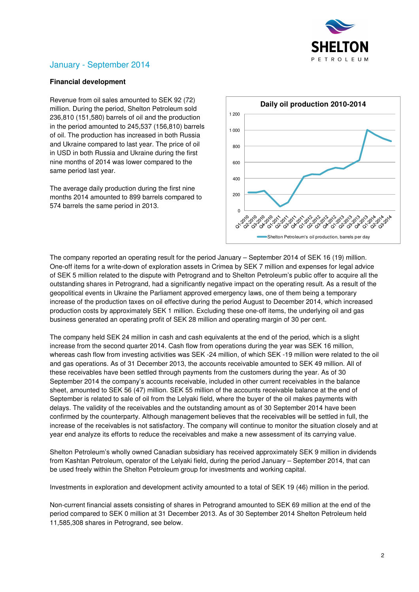

# January - September 2014

### **Financial development**

Revenue from oil sales amounted to SEK 92 (72) million. During the period, Shelton Petroleum sold 236,810 (151,580) barrels of oil and the production in the period amounted to 245,537 (156,810) barrels of oil. The production has increased in both Russia and Ukraine compared to last year. The price of oil in USD in both Russia and Ukraine during the first nine months of 2014 was lower compared to the same period last year.

The average daily production during the first nine months 2014 amounted to 899 barrels compared to 574 barrels the same period in 2013.



The company reported an operating result for the period January – September 2014 of SEK 16 (19) million. One-off items for a write-down of exploration assets in Crimea by SEK 7 million and expenses for legal advice of SEK 5 million related to the dispute with Petrogrand and to Shelton Petroleum's public offer to acquire all the outstanding shares in Petrogrand, had a significantly negative impact on the operating result. As a result of the geopolitical events in Ukraine the Parliament approved emergency laws, one of them being a temporary increase of the production taxes on oil effective during the period August to December 2014, which increased production costs by approximately SEK 1 million. Excluding these one-off items, the underlying oil and gas business generated an operating profit of SEK 28 million and operating margin of 30 per cent.

The company held SEK 24 million in cash and cash equivalents at the end of the period, which is a slight increase from the second quarter 2014. Cash flow from operations during the year was SEK 16 million, whereas cash flow from investing activities was SEK -24 million, of which SEK -19 million were related to the oil and gas operations. As of 31 December 2013, the accounts receivable amounted to SEK 49 million. All of these receivables have been settled through payments from the customers during the year. As of 30 September 2014 the company's accounts receivable, included in other current receivables in the balance sheet, amounted to SEK 56 (47) million. SEK 55 million of the accounts receivable balance at the end of September is related to sale of oil from the Lelyaki field, where the buyer of the oil makes payments with delays. The validity of the receivables and the outstanding amount as of 30 September 2014 have been confirmed by the counterparty. Although management believes that the receivables will be settled in full, the increase of the receivables is not satisfactory. The company will continue to monitor the situation closely and at year end analyze its efforts to reduce the receivables and make a new assessment of its carrying value.

Shelton Petroleum's wholly owned Canadian subsidiary has received approximately SEK 9 million in dividends from Kashtan Petroleum, operator of the Lelyaki field, during the period January – September 2014, that can be used freely within the Shelton Petroleum group for investments and working capital.

Investments in exploration and development activity amounted to a total of SEK 19 (46) million in the period.

Non-current financial assets consisting of shares in Petrogrand amounted to SEK 69 million at the end of the period compared to SEK 0 million at 31 December 2013. As of 30 September 2014 Shelton Petroleum held 11,585,308 shares in Petrogrand, see below.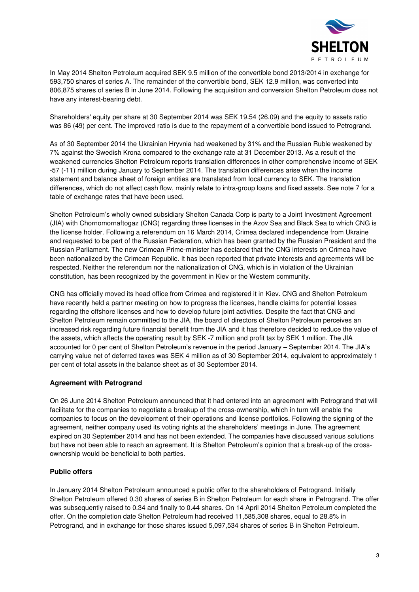

In May 2014 Shelton Petroleum acquired SEK 9.5 million of the convertible bond 2013/2014 in exchange for 593,750 shares of series A. The remainder of the convertible bond, SEK 12.9 million, was converted into 806,875 shares of series B in June 2014. Following the acquisition and conversion Shelton Petroleum does not have any interest-bearing debt.

Shareholders' equity per share at 30 September 2014 was SEK 19.54 (26.09) and the equity to assets ratio was 86 (49) per cent. The improved ratio is due to the repayment of a convertible bond issued to Petrogrand.

As of 30 September 2014 the Ukrainian Hryvnia had weakened by 31% and the Russian Ruble weakened by 7% against the Swedish Krona compared to the exchange rate at 31 December 2013. As a result of the weakened currencies Shelton Petroleum reports translation differences in other comprehensive income of SEK -57 (-11) million during January to September 2014. The translation differences arise when the income statement and balance sheet of foreign entities are translated from local currency to SEK. The translation differences, which do not affect cash flow, mainly relate to intra-group loans and fixed assets. See note 7 for a table of exchange rates that have been used.

Shelton Petroleum's wholly owned subsidiary Shelton Canada Corp is party to a Joint Investment Agreement (JIA) with Chornomornaftogaz (CNG) regarding three licenses in the Azov Sea and Black Sea to which CNG is the license holder. Following a referendum on 16 March 2014, Crimea declared independence from Ukraine and requested to be part of the Russian Federation, which has been granted by the Russian President and the Russian Parliament. The new Crimean Prime-minister has declared that the CNG interests on Crimea have been nationalized by the Crimean Republic. It has been reported that private interests and agreements will be respected. Neither the referendum nor the nationalization of CNG, which is in violation of the Ukrainian constitution, has been recognized by the government in Kiev or the Western community.

CNG has officially moved its head office from Crimea and registered it in Kiev. CNG and Shelton Petroleum have recently held a partner meeting on how to progress the licenses, handle claims for potential losses regarding the offshore licenses and how to develop future joint activities. Despite the fact that CNG and Shelton Petroleum remain committed to the JIA, the board of directors of Shelton Petroleum perceives an increased risk regarding future financial benefit from the JIA and it has therefore decided to reduce the value of the assets, which affects the operating result by SEK -7 million and profit tax by SEK 1 million. The JIA accounted for 0 per cent of Shelton Petroleum's revenue in the period January – September 2014. The JIA's carrying value net of deferred taxes was SEK 4 million as of 30 September 2014, equivalent to approximately 1 per cent of total assets in the balance sheet as of 30 September 2014.

### **Agreement with Petrogrand**

On 26 June 2014 Shelton Petroleum announced that it had entered into an agreement with Petrogrand that will facilitate for the companies to negotiate a breakup of the cross-ownership, which in turn will enable the companies to focus on the development of their operations and license portfolios. Following the signing of the agreement, neither company used its voting rights at the shareholders' meetings in June. The agreement expired on 30 September 2014 and has not been extended. The companies have discussed various solutions but have not been able to reach an agreement. It is Shelton Petroleum's opinion that a break-up of the crossownership would be beneficial to both parties.

### **Public offers**

In January 2014 Shelton Petroleum announced a public offer to the shareholders of Petrogrand. Initially Shelton Petroleum offered 0.30 shares of series B in Shelton Petroleum for each share in Petrogrand. The offer was subsequently raised to 0.34 and finally to 0.44 shares. On 14 April 2014 Shelton Petroleum completed the offer. On the completion date Shelton Petroleum had received 11,585,308 shares, equal to 28.8% in Petrogrand, and in exchange for those shares issued 5,097,534 shares of series B in Shelton Petroleum.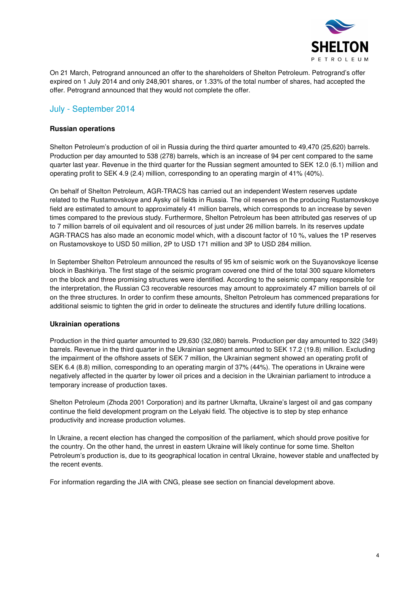

On 21 March, Petrogrand announced an offer to the shareholders of Shelton Petroleum. Petrogrand's offer expired on 1 July 2014 and only 248,901 shares, or 1.33% of the total number of shares, had accepted the offer. Petrogrand announced that they would not complete the offer.

### July - September 2014

#### **Russian operations**

Shelton Petroleum's production of oil in Russia during the third quarter amounted to 49,470 (25,620) barrels. Production per day amounted to 538 (278) barrels, which is an increase of 94 per cent compared to the same quarter last year. Revenue in the third quarter for the Russian segment amounted to SEK 12.0 (6.1) million and operating profit to SEK 4.9 (2.4) million, corresponding to an operating margin of 41% (40%).

On behalf of Shelton Petroleum, AGR-TRACS has carried out an independent Western reserves update related to the Rustamovskoye and Aysky oil fields in Russia. The oil reserves on the producing Rustamovskoye field are estimated to amount to approximately 41 million barrels, which corresponds to an increase by seven times compared to the previous study. Furthermore, Shelton Petroleum has been attributed gas reserves of up to 7 million barrels of oil equivalent and oil resources of just under 26 million barrels. In its reserves update AGR-TRACS has also made an economic model which, with a discount factor of 10 %, values the 1P reserves on Rustamovskoye to USD 50 million, 2P to USD 171 million and 3P to USD 284 million.

In September Shelton Petroleum announced the results of 95 km of seismic work on the Suyanovskoye license block in Bashkiriya. The first stage of the seismic program covered one third of the total 300 square kilometers on the block and three promising structures were identified. According to the seismic company responsible for the interpretation, the Russian C3 recoverable resources may amount to approximately 47 million barrels of oil on the three structures. In order to confirm these amounts, Shelton Petroleum has commenced preparations for additional seismic to tighten the grid in order to delineate the structures and identify future drilling locations.

#### **Ukrainian operations**

Production in the third quarter amounted to 29,630 (32,080) barrels. Production per day amounted to 322 (349) barrels. Revenue in the third quarter in the Ukrainian segment amounted to SEK 17.2 (19.8) million. Excluding the impairment of the offshore assets of SEK 7 million, the Ukrainian segment showed an operating profit of SEK 6.4 (8.8) million, corresponding to an operating margin of 37% (44%). The operations in Ukraine were negatively affected in the quarter by lower oil prices and a decision in the Ukrainian parliament to introduce a temporary increase of production taxes.

Shelton Petroleum (Zhoda 2001 Corporation) and its partner Ukrnafta, Ukraine's largest oil and gas company continue the field development program on the Lelyaki field. The objective is to step by step enhance productivity and increase production volumes.

In Ukraine, a recent election has changed the composition of the parliament, which should prove positive for the country. On the other hand, the unrest in eastern Ukraine will likely continue for some time. Shelton Petroleum's production is, due to its geographical location in central Ukraine, however stable and unaffected by the recent events.

For information regarding the JIA with CNG, please see section on financial development above.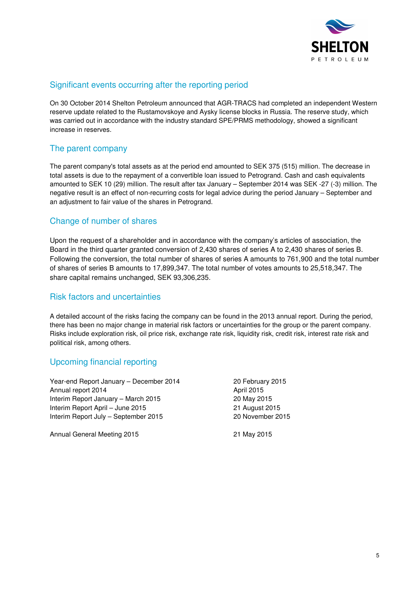

## Significant events occurring after the reporting period

On 30 October 2014 Shelton Petroleum announced that AGR-TRACS had completed an independent Western reserve update related to the Rustamovskoye and Aysky license blocks in Russia. The reserve study, which was carried out in accordance with the industry standard SPE/PRMS methodology, showed a significant increase in reserves.

# The parent company

The parent company's total assets as at the period end amounted to SEK 375 (515) million. The decrease in total assets is due to the repayment of a convertible loan issued to Petrogrand. Cash and cash equivalents amounted to SEK 10 (29) million. The result after tax January – September 2014 was SEK -27 (-3) million. The negative result is an effect of non-recurring costs for legal advice during the period January – September and an adjustment to fair value of the shares in Petrogrand.

## Change of number of shares

Upon the request of a shareholder and in accordance with the company's articles of association, the Board in the third quarter granted conversion of 2,430 shares of series A to 2,430 shares of series B. Following the conversion, the total number of shares of series A amounts to 761,900 and the total number of shares of series B amounts to 17,899,347. The total number of votes amounts to 25,518,347. The share capital remains unchanged, SEK 93,306,235.

### Risk factors and uncertainties

A detailed account of the risks facing the company can be found in the 2013 annual report. During the period, there has been no major change in material risk factors or uncertainties for the group or the parent company. Risks include exploration risk, oil price risk, exchange rate risk, liquidity risk, credit risk, interest rate risk and political risk, among others.

## Upcoming financial reporting

Year-end Report January – December 2014 20 February 2015 Annual report 2014 **Annual report 2015** Interim Report January – March 2015 20 May 2015 Interim Report April – June 2015 21 August 2015 Interim Report July – September 2015 20 November 2015

Annual General Meeting 2015 21 May 2015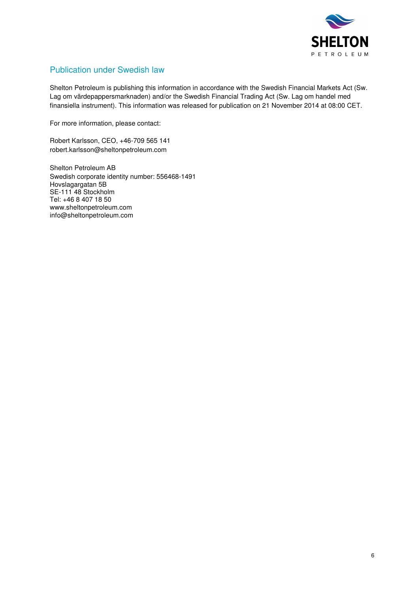

# Publication under Swedish law

Shelton Petroleum is publishing this information in accordance with the Swedish Financial Markets Act (Sw. Lag om värdepappersmarknaden) and/or the Swedish Financial Trading Act (Sw. Lag om handel med finansiella instrument). This information was released for publication on 21 November 2014 at 08:00 CET.

For more information, please contact:

Robert Karlsson, CEO, +46-709 565 141 robert.karlsson@sheltonpetroleum.com

Shelton Petroleum AB Swedish corporate identity number: 556468-1491 Hovslagargatan 5B SE-111 48 Stockholm Tel: +46 8 407 18 50 www.sheltonpetroleum.com info@sheltonpetroleum.com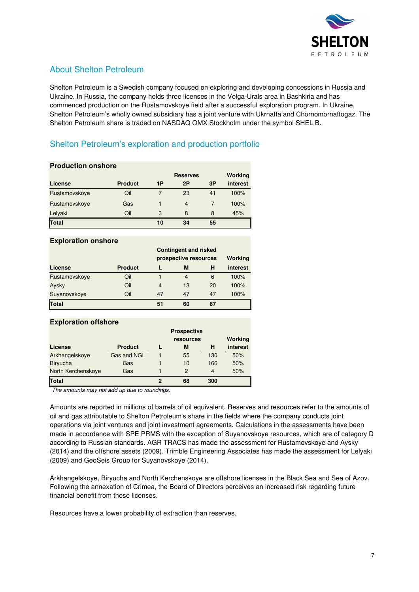

# About Shelton Petroleum

Shelton Petroleum is a Swedish company focused on exploring and developing concessions in Russia and Ukraine. In Russia, the company holds three licenses in the Volga-Urals area in Bashkiria and has commenced production on the Rustamovskoye field after a successful exploration program. In Ukraine, Shelton Petroleum's wholly owned subsidiary has a joint venture with Ukrnafta and Chornomornaftogaz. The Shelton Petroleum share is traded on NASDAQ OMX Stockholm under the symbol SHEL B.

# Shelton Petroleum's exploration and production portfolio

| <b>Production onshore</b> |                |    |                 |    |                |  |
|---------------------------|----------------|----|-----------------|----|----------------|--|
|                           |                |    | <b>Reserves</b> |    | <b>Working</b> |  |
| License                   | <b>Product</b> | 1P | 2P              | 3P | interest       |  |
| Rustamovskoye             | Oil            |    | 23              | 41 | 100%           |  |
| Rustamovskoye             | Gas            |    | $\overline{4}$  |    | 100%           |  |
| Lelyaki                   | Oil            | 3  | 8               | 8  | 45%            |  |
| Total                     |                | 10 | 34              | 55 |                |  |

### **Exploration onshore**

|               |                | <b>Contingent and risked</b> |                       |    |          |  |
|---------------|----------------|------------------------------|-----------------------|----|----------|--|
|               |                |                              | prospective resources |    |          |  |
| License       | <b>Product</b> |                              | M                     | н  | interest |  |
| Rustamovskoye | Oil            |                              | 4                     | 6  | 100%     |  |
| Aysky         | Oil            | $\overline{4}$               | 13                    | 20 | 100%     |  |
| Suyanovskoye  | Oil            | 47                           | 47                    | 47 | 100%     |  |
| Total         |                | 51                           | 60                    | 67 |          |  |

| <b>Exploration offshore</b> |                |   |                    |                |          |  |  |
|-----------------------------|----------------|---|--------------------|----------------|----------|--|--|
|                             |                |   | <b>Prospective</b> |                |          |  |  |
|                             |                |   | resources          |                | Working  |  |  |
| License                     | <b>Product</b> |   | M                  | н              | interest |  |  |
| Arkhangelskoye              | Gas and NGL    |   | 55                 | 130            | 50%      |  |  |
| <b>Biryucha</b>             | Gas            |   | 10                 | 166            | 50%      |  |  |
| North Kerchenskoye          | Gas            |   | $\mathcal{P}$      | $\overline{4}$ | 50%      |  |  |
| Total                       |                | 2 | 68                 | 300            |          |  |  |

The amounts may not add up due to roundings.

Amounts are reported in millions of barrels of oil equivalent. Reserves and resources refer to the amounts of oil and gas attributable to Shelton Petroleum's share in the fields where the company conducts joint operations via joint ventures and joint investment agreements. Calculations in the assessments have been made in accordance with SPE PRMS with the exception of Suyanovskoye resources, which are of category D according to Russian standards. AGR TRACS has made the assessment for Rustamovskoye and Aysky (2014) and the offshore assets (2009). Trimble Engineering Associates has made the assessment for Lelyaki (2009) and GeoSeis Group for Suyanovskoye (2014).

Arkhangelskoye, Biryucha and North Kerchenskoye are offshore licenses in the Black Sea and Sea of Azov. Following the annexation of Crimea, the Board of Directors perceives an increased risk regarding future financial benefit from these licenses.

Resources have a lower probability of extraction than reserves.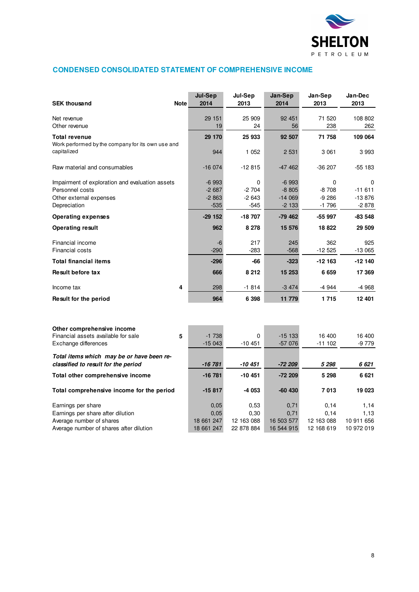

### **CONDENSED CONSOLIDATED STATEMENT OF COMPREHENSIVE INCOME**

| <b>SEK thousand</b>                                                              | <b>Note</b> | Jul-Sep<br>2014 | Jul-Sep<br>2013 | Jan-Sep<br>2014 | Jan-Sep<br>2013 | Jan-Dec<br>2013 |
|----------------------------------------------------------------------------------|-------------|-----------------|-----------------|-----------------|-----------------|-----------------|
| Net revenue                                                                      |             | 29 151          | 25 909          | 92 451          | 71 520          | 108 802         |
| Other revenue                                                                    |             | 19              | 24              | 56              | 238             | 262             |
| Total revenue<br>Work performed by the company for its own use and               |             | 29 170          | 25 933          | 92 507          | 71 758          | 109 064         |
| capitalized                                                                      |             | 944             | 1 0 5 2         | 2 5 31          | 3 0 61          | 3993            |
| Raw material and consumables                                                     |             | $-16074$        | $-12815$        | $-47462$        | $-36207$        | $-55183$        |
| Impairment of exploration and evaluation assets                                  |             | $-6993$         | 0               | $-6993$         | 0               | 0               |
| Personnel costs                                                                  |             | $-2687$         | $-2704$         | $-8805$         | $-8708$         | $-11611$        |
| Other external expenses                                                          |             | $-2863$         | $-2643$         | $-14069$        | $-9286$         | $-13876$        |
| Depreciation                                                                     |             | $-535$          | -545            | $-2133$         | $-1796$         | $-2878$         |
| <b>Operating expenses</b>                                                        |             | $-29152$        | -18 707         | $-79.462$       | -55 997         | $-83548$        |
| <b>Operating result</b>                                                          |             | 962             | 8 2 7 8         | 15 576          | 18 822          | 29 509          |
| Financial income                                                                 |             | -6              | 217             | 245             | 362             | 925             |
| <b>Financial costs</b>                                                           |             | $-290$          | $-283$          | $-568$          | $-12525$        | $-13065$        |
| Total financial items                                                            |             | $-296$          | -66             | $-323$          | $-12163$        | $-12140$        |
| Result before tax                                                                |             | 666             | 8 2 1 2         | 15 253          | 6659            | 17 369          |
| Income tax                                                                       | 4           | 298             | $-1814$         | $-3474$         | $-4944$         | -4 968          |
| Result for the period                                                            |             | 964             | 6 3 9 8         | 11 779          | 1715            | 12 401          |
|                                                                                  |             |                 |                 |                 |                 |                 |
| Other comprehensive income<br>Financial assets available for sale                | 5           | $-1738$         | 0               | $-15133$        | 16 400          | 16 400          |
| Exchange differences                                                             |             | $-15043$        | $-10451$        | $-57076$        | $-111102$       | $-9779$         |
|                                                                                  |             |                 |                 |                 |                 |                 |
| Total items which may be or have been re-<br>classified to result for the period |             | -16 781         | -10 451         | -72 209         | 5 2 9 8         | 6 621           |
| Total other comprehensive income                                                 |             | $-16781$        | -10 451         | $-72209$        | 5 2 9 8         | 6621            |
| Total comprehensive income for the period                                        |             | $-15817$        | $-4053$         | $-60$ 430       | 7013            | 19 023          |
| Earnings per share                                                               |             | 0,05            | 0,53            | 0,71            | 0,14            | 1,14            |
| Earnings per share after dilution                                                |             | 0,05            | 0,30            | 0,71            | 0,14            | 1,13            |

Average number of shares 18 661 247 12 163 088 16 503 577 12 163 088 10 911 656 Average number of shares after dilution 18 661 247 22 878 884 16 544 915 12 168 619 10 972 019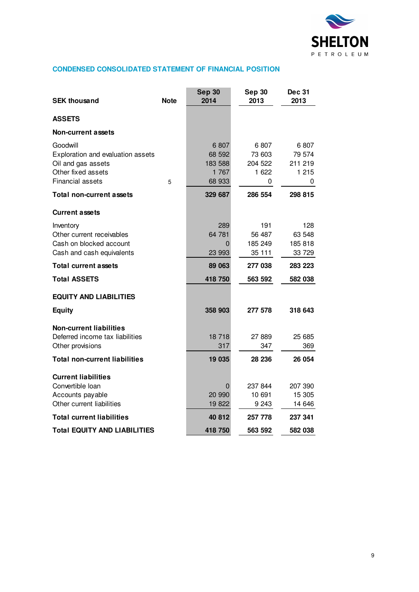

## **CONDENSED CONSOLIDATED STATEMENT OF FINANCIAL POSITION**

| <b>SEK thousand</b>                                                                                           | <b>Note</b> | <b>Sep 30</b><br>2014                        | <b>Sep 30</b><br>2013                    | <b>Dec 31</b><br>2013                      |
|---------------------------------------------------------------------------------------------------------------|-------------|----------------------------------------------|------------------------------------------|--------------------------------------------|
| <b>ASSETS</b>                                                                                                 |             |                                              |                                          |                                            |
| Non-current assets                                                                                            |             |                                              |                                          |                                            |
| Goodwill<br>Exploration and evaluation assets<br>Oil and gas assets<br>Other fixed assets<br>Financial assets | 5           | 6807<br>68 592<br>183 588<br>1 767<br>68 933 | 6 807<br>73 603<br>204 522<br>1 622<br>0 | 6 807<br>79 574<br>211 219<br>1 2 1 5<br>0 |
| <b>Total non-current assets</b>                                                                               |             | 329 687                                      | 286 554                                  | 298 815                                    |
| <b>Current assets</b>                                                                                         |             |                                              |                                          |                                            |
| Inventory<br>Other current receivables<br>Cash on blocked account<br>Cash and cash equivalents                |             | 289<br>64 781<br>$\Omega$<br>23 993          | 191<br>56 487<br>185 249<br>35 111       | 128<br>63 548<br>185 818<br>33 729         |
| <b>Total current assets</b>                                                                                   |             | 89 063                                       | 277 038                                  | 283 223                                    |
| <b>Total ASSETS</b>                                                                                           |             | 418 750                                      | 563 592                                  | 582 038                                    |
| <b>EQUITY AND LIABILITIES</b>                                                                                 |             |                                              |                                          |                                            |
| <b>Equity</b>                                                                                                 |             | 358 903                                      | 277 578                                  | 318 643                                    |
| <b>Non-current liabilities</b><br>Deferred income tax liabilities<br>Other provisions                         |             | 18 718<br>317                                | 27 889<br>347                            | 25 685<br>369                              |
| <b>Total non-current liabilities</b>                                                                          |             | 19 035                                       | 28 236                                   | 26 054                                     |
| <b>Current liabilities</b><br>Convertible Ioan<br>Accounts payable<br>Other current liabilities               |             | 0<br>20 990<br>19822                         | 237 844<br>10 691<br>9 2 4 3             | 207 390<br>15 305<br>14 646                |
| <b>Total current liabilities</b>                                                                              |             | 40 812                                       | 257 778                                  | 237 341                                    |
| <b>Total EQUITY AND LIABILITIES</b>                                                                           |             | 418 750                                      | 563 592                                  | 582 038                                    |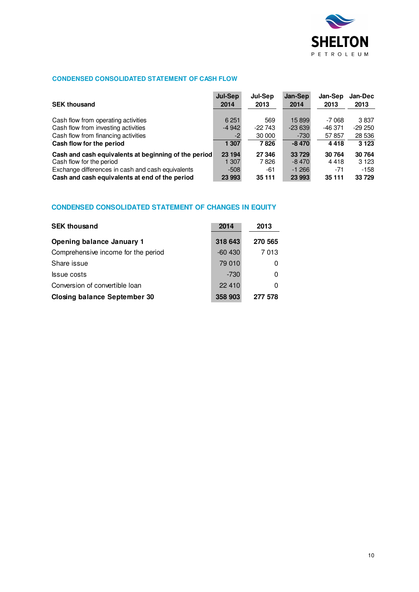

### **CONDENSED CONSOLIDATED STATEMENT OF CASH FLOW**

| <b>SEK thousand</b>                                  | Jul-Sep | Jul-Sep    | Jan-Sep  | Jan-Sep | <b>Jan-Dec</b> |
|------------------------------------------------------|---------|------------|----------|---------|----------------|
|                                                      | 2014    | 2013       | 2014     | 2013    | 2013           |
| Cash flow from operating activities                  | 6 2 5 1 | 569        | 15 899   | -7 068  | 3837           |
| Cash flow from investing activities                  | $-4942$ | $-22\,743$ | $-23639$ | -46 371 | $-29250$       |
| Cash flow from financing activities                  | -2      | 30 000     | $-730$   | 57857   | 28 536         |
| Cash flow for the period                             | 1 307   | 7826       | $-8470$  | 4418    | 3 1 2 3        |
| Cash and cash equivalents at beginning of the period | 23 194  | 27 346     | 33 729   | 30 764  | 30 764         |
| Cash flow for the period                             | 1 307   | 7826       | $-8470$  | 4418    | 3 1 2 3        |
| Exchange differences in cash and cash equivalents    | $-508$  | -61        | $-1266$  | $-71$   | $-158$         |
| Cash and cash equivalents at end of the period       | 23 993  | 35 111     | 23 993   | 35 111  | 33729          |

### **CONDENSED CONSOLIDATED STATEMENT OF CHANGES IN EQUITY**

| <b>SEK thousand</b>                 | 2014      | 2013    |
|-------------------------------------|-----------|---------|
| <b>Opening balance January 1</b>    | 318 643   | 270 565 |
| Comprehensive income for the period | $-60,430$ | 7013    |
| Share issue                         | 79 010    | 0       |
| <b>S</b> sue costs                  | $-730$    | 0       |
| Conversion of convertible loan      | 22 410    | 0       |
| <b>Closing balance September 30</b> | 358 903   | 277 578 |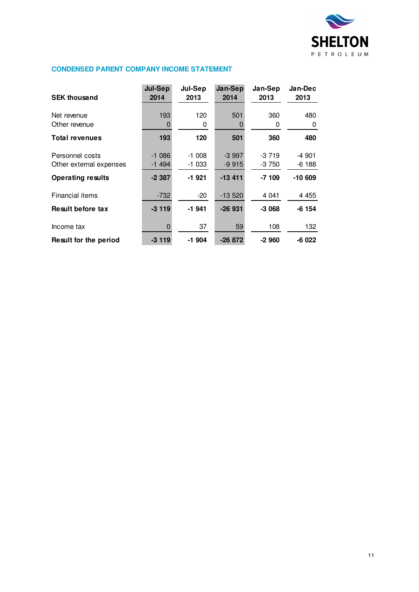

### **CONDENSED PARENT COMPANY INCOME STATEMENT**

| <b>SEK thousand</b>                                                    | <b>Jul-Sep</b><br>2014         | Jul-Sep<br>2013               | Jan-Sep<br>2014                | Jan-Sep<br>2013              | Jan-Dec<br>2013               |
|------------------------------------------------------------------------|--------------------------------|-------------------------------|--------------------------------|------------------------------|-------------------------------|
| Net revenue<br>Other revenue                                           | 193<br>0                       | 120<br>0                      | 501                            | 360<br>0                     | 480<br>0                      |
| <b>Total revenues</b>                                                  | 193                            | 120                           | 501                            | 360                          | 480                           |
| Personnel costs<br>Other external expenses<br><b>Operating results</b> | $-1086$<br>$-1494$<br>$-2.387$ | $-1008$<br>$-1033$<br>$-1921$ | $-3997$<br>$-9915$<br>$-13411$ | $-3719$<br>$-3750$<br>-7 109 | -4 901<br>$-6188$<br>$-10609$ |
| Financial items                                                        | $-732$                         | $-20$                         | $-13520$                       | 4 0 4 1                      | 4 4 5 5                       |
| Result before tax                                                      | $-3119$                        | $-1941$                       | $-26931$                       | $-3068$                      | $-6154$                       |
| Income tax                                                             | 0                              | 37                            | 59                             | 108                          | 132                           |
| Result for the period                                                  | $-3119$                        | -1 904                        | $-26872$                       | -2 960                       | $-6022$                       |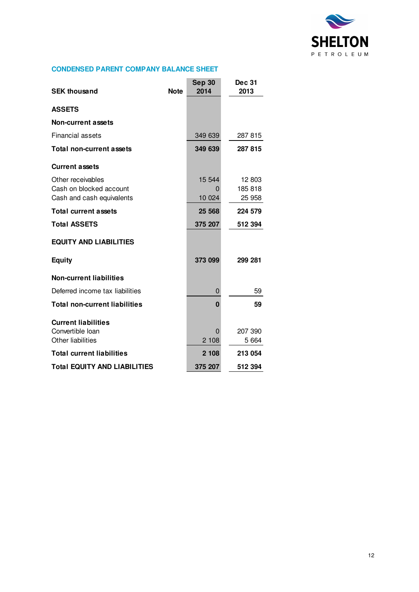

### **CONDENSED PARENT COMPANY BALANCE SHEET**

| <b>SEK thousand</b>                  | <b>Note</b> | <b>Sep 30</b><br>2014 | <b>Dec 31</b><br>2013 |
|--------------------------------------|-------------|-----------------------|-----------------------|
| <b>ASSETS</b>                        |             |                       |                       |
| Non-current assets                   |             |                       |                       |
| <b>Financial assets</b>              |             | 349 639               | 287 815               |
| <b>Total non-current assets</b>      |             | 349 639               | 287 815               |
| <b>Current assets</b>                |             |                       |                       |
| Other receivables                    |             | 15 544                | 12 803                |
| Cash on blocked account              |             | 0                     | 185 818               |
| Cash and cash equivalents            |             | 10 0 24               | 25 958                |
| <b>Total current assets</b>          |             | 25 5 68               | 224 579               |
| <b>Total ASSETS</b>                  |             | 375 207               | 512 394               |
| <b>EQUITY AND LIABILITIES</b>        |             |                       |                       |
| <b>Equity</b>                        |             | 373 099               | 299 281               |
| <b>Non-current liabilities</b>       |             |                       |                       |
| Deferred income tax liabilities      |             | $\Omega$              | 59                    |
| <b>Total non-current liabilities</b> |             | $\bf{0}$              | 59                    |
| <b>Current liabilities</b>           |             |                       |                       |
| Convertible Ioan                     |             | 0                     | 207 390               |
| Other liabilities                    |             | 2 108                 | 5 6 64                |
| <b>Total current liabilities</b>     |             | 2 108                 | 213 054               |
| <b>Total EQUITY AND LIABILITIES</b>  |             | 375 207               | 512 394               |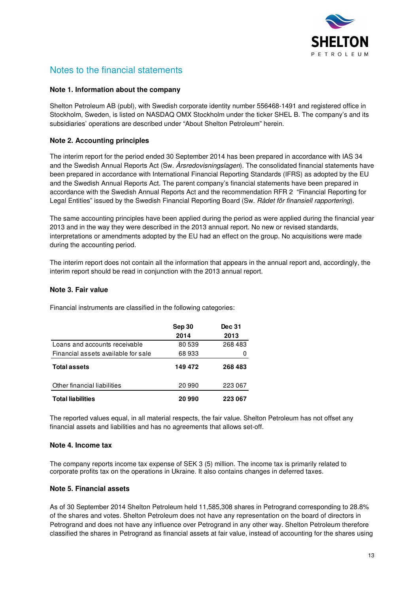

# Notes to the financial statements

### **Note 1. Information about the company**

Shelton Petroleum AB (publ), with Swedish corporate identity number 556468-1491 and registered office in Stockholm, Sweden, is listed on NASDAQ OMX Stockholm under the ticker SHEL B. The company's and its subsidiaries' operations are described under "About Shelton Petroleum" herein.

### **Note 2. Accounting principles**

The interim report for the period ended 30 September 2014 has been prepared in accordance with IAS 34 and the Swedish Annual Reports Act (Sw. *Årsredovisningslagen*). The consolidated financial statements have been prepared in accordance with International Financial Reporting Standards (IFRS) as adopted by the EU and the Swedish Annual Reports Act. The parent company's financial statements have been prepared in accordance with the Swedish Annual Reports Act and the recommendation RFR 2 "Financial Reporting for Legal Entities" issued by the Swedish Financial Reporting Board (Sw. Rådet för finansiell rapportering).

The same accounting principles have been applied during the period as were applied during the financial year 2013 and in the way they were described in the 2013 annual report. No new or revised standards, interpretations or amendments adopted by the EU had an effect on the group. No acquisitions were made during the accounting period.

The interim report does not contain all the information that appears in the annual report and, accordingly, the interim report should be read in conjunction with the 2013 annual report.

### **Note 3. Fair value**

Financial instruments are classified in the following categories:

|                                     | Sep 30<br>2014 | <b>Dec 31</b><br>2013 |
|-------------------------------------|----------------|-----------------------|
| Loans and accounts receivable       | 80539          | 268483                |
| Financial assets available for sale | 68933          |                       |
| <b>Total assets</b>                 | 149 472        | 268 483               |
| Other financial liabilities         | 20 990         | 223 067               |
| <b>Total liabilities</b>            | 20 990         | 223 067               |

The reported values equal, in all material respects, the fair value. Shelton Petroleum has not offset any financial assets and liabilities and has no agreements that allows set-off.

#### **Note 4. Income tax**

The company reports income tax expense of SEK 3 (5) million. The income tax is primarily related to corporate profits tax on the operations in Ukraine. It also contains changes in deferred taxes.

#### **Note 5. Financial assets**

As of 30 September 2014 Shelton Petroleum held 11,585,308 shares in Petrogrand corresponding to 28.8% of the shares and votes. Shelton Petroleum does not have any representation on the board of directors in Petrogrand and does not have any influence over Petrogrand in any other way. Shelton Petroleum therefore classified the shares in Petrogrand as financial assets at fair value, instead of accounting for the shares using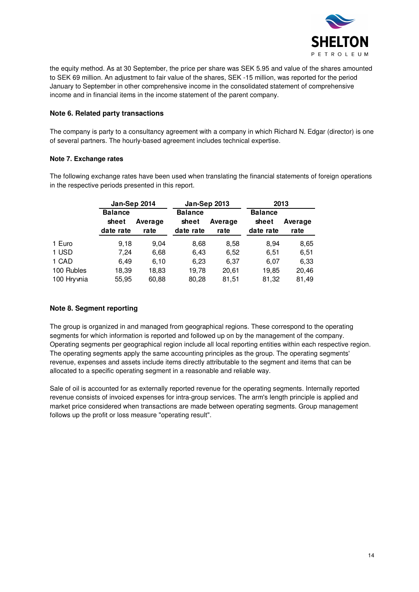

the equity method. As at 30 September, the price per share was SEK 5.95 and value of the shares amounted to SEK 69 million. An adjustment to fair value of the shares, SEK -15 million, was reported for the period January to September in other comprehensive income in the consolidated statement of comprehensive income and in financial items in the income statement of the parent company.

### **Note 6. Related party transactions**

The company is party to a consultancy agreement with a company in which Richard N. Edgar (director) is one of several partners. The hourly-based agreement includes technical expertise.

### **Note 7. Exchange rates**

The following exchange rates have been used when translating the financial statements of foreign operations in the respective periods presented in this report.

|            | Jan-Sep 2014                         |                 | <b>Jan-Sep 2013</b>                  |                 | 2013                                 |                 |  |
|------------|--------------------------------------|-----------------|--------------------------------------|-----------------|--------------------------------------|-----------------|--|
|            | <b>Balance</b><br>sheet<br>date rate | Average<br>rate | <b>Balance</b><br>sheet<br>date rate | Average<br>rate | <b>Balance</b><br>sheet<br>date rate | Average<br>rate |  |
| 1 Euro     | 9,18                                 | 9,04            | 8,68                                 | 8,58            | 8,94                                 | 8,65            |  |
| 1 USD      | 7,24                                 | 6,68            | 6,43                                 | 6,52            | 6,51                                 | 6,51            |  |
| 1 CAD      | 6.49                                 | 6,10            | 6,23                                 | 6,37            | 6.07                                 | 6,33            |  |
| 100 Rubles | 18,39                                | 18,83           | 19,78                                | 20,61           | 19,85                                | 20,46           |  |
| 100 Hrywia | 55,95                                | 60,88           | 80,28                                | 81,51           | 81,32                                | 81,49           |  |

### **Note 8. Segment reporting**

The group is organized in and managed from geographical regions. These correspond to the operating segments for which information is reported and followed up on by the management of the company. Operating segments per geographical region include all local reporting entities within each respective region. The operating segments apply the same accounting principles as the group. The operating segments' revenue, expenses and assets include items directly attributable to the segment and items that can be allocated to a specific operating segment in a reasonable and reliable way.

Sale of oil is accounted for as externally reported revenue for the operating segments. Internally reported revenue consists of invoiced expenses for intra-group services. The arm's length principle is applied and market price considered when transactions are made between operating segments. Group management follows up the profit or loss measure "operating result".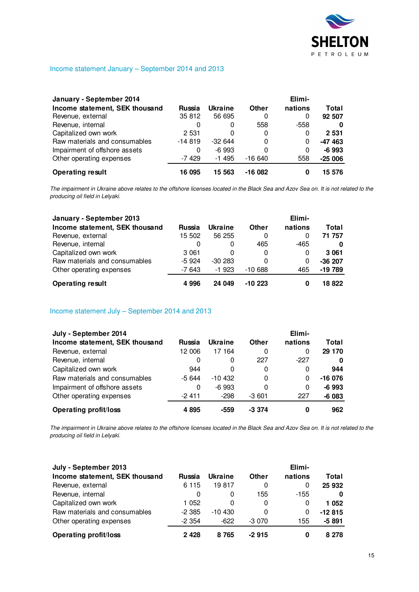

### Income statement January – September 2014 and 2013

| January - September 2014       |               |                |          | Elimi-  |          |
|--------------------------------|---------------|----------------|----------|---------|----------|
| Income statement, SEK thousand | <b>Russia</b> | <b>Ukraine</b> | Other    | nations | Total    |
| Revenue, external              | 35 812        | 56 695         | 0        |         | 92 507   |
| Revenue, internal              | 0             | 0              | 558      | $-558$  |          |
| Capitalized own work           | 2 5 3 1       |                | 0        | 0       | 2 5 3 1  |
| Raw materials and consumables  | $-14819$      | $-32644$       | 0        | 0       | $-47463$ |
| Impairment of offshore assets  | 0             | $-6993$        | 0        | 0       | $-6993$  |
| Other operating expenses       | $-7429$       | $-1495$        | $-16640$ | 558     | $-25006$ |
| <b>Operating result</b>        | 16 095        | 15 563         | $-16082$ |         | 15 576   |

The impairment in Ukraine above relates to the offshore licenses located in the Black Sea and Azov Sea on. It is not related to the producing oil field in Lelyaki.

| January - September 2013       |               |                |          | Elimi-  |          |
|--------------------------------|---------------|----------------|----------|---------|----------|
| Income statement, SEK thousand | <b>Russia</b> | <b>Ukraine</b> | Other    | nations | Total    |
| Revenue, external              | 15 502        | 56 255         | 0        | 0       | 71 757   |
| Revenue, internal              | 0             | 0              | 465      | -465    | 0        |
| Capitalized own work           | 3 0 6 1       | 0              | 0        | 0       | 3 0 6 1  |
| Raw materials and consumables  | $-5924$       | $-30283$       | 0        | 0       | $-36207$ |
| Other operating expenses       | $-7643$       | $-1923$        | $-10688$ | 465     | -19 789  |
| <b>Operating result</b>        | 4996          | 24 049         | $-10223$ | 0       | 18 822   |

Income statement July – September 2014 and 2013

| July - September 2014          |         |          |              | Elimi-   |          |
|--------------------------------|---------|----------|--------------|----------|----------|
| Income statement, SEK thousand | Russia  | Ukraine  | <b>Other</b> | nations  | Total    |
| Revenue, external              | 12 006  | 17 164   | 0            | 0        | 29 170   |
| Revenue, internal              | 0       | 0        | 227          | $-227$   | 0        |
| Capitalized own work           | 944     | 0        | 0            | 0        | 944      |
| Raw materials and consumables  | $-5644$ | $-10432$ | 0            | $\Omega$ | $-16076$ |
| Impairment of offshore assets  | 0       | $-6993$  | 0            | 0        | $-6993$  |
| Other operating expenses       | -2 411  | $-298$   | $-3601$      | 227      | $-6083$  |
| <b>Operating profit/loss</b>   | 4895    | -559     | $-3.374$     | 0        | 962      |

The impairment in Ukraine above relates to the offshore licenses located in the Black Sea and Azov Sea on. It is not related to the producing oil field in Lelyaki.

| July - September 2013          |          |                |         | Elimi-  |          |
|--------------------------------|----------|----------------|---------|---------|----------|
| Income statement, SEK thousand | Russia   | <b>Ukraine</b> | Other   | nations | Total    |
| Revenue, external              | 6 1 1 5  | 19817          | 0       | 0       | 25 932   |
| Revenue, internal              | 0        | 0              | 155     | $-155$  | 0        |
| Capitalized own work           | 1 0 5 2  | 0              | 0       | 0       | 1052     |
| Raw materials and consumables  | $-2.385$ | $-10430$       | 0       | 0       | $-12815$ |
| Other operating expenses       | $-2.354$ | $-622$         | $-3070$ | 155     | $-5891$  |
| <b>Operating profit/loss</b>   | 2428     | 8765           | $-2915$ |         | 8 2 7 8  |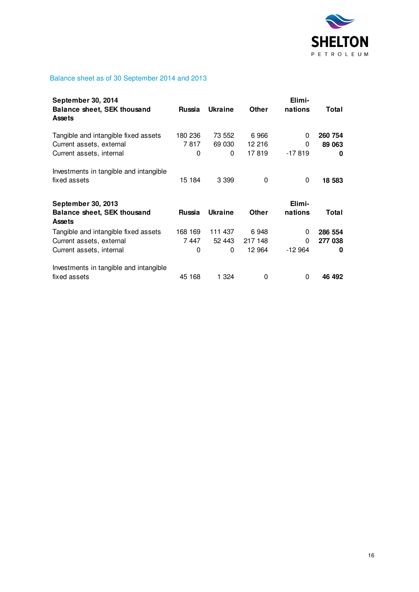

## Balance sheet as of 30 September 2014 and 2013

| <b>September 30, 2014</b><br><b>Balance sheet, SEK thousand</b><br><b>Assets</b>             | Russia               | <b>Ukraine</b>         | <b>Other</b>              | Elimi-<br>nations  | Total                   |
|----------------------------------------------------------------------------------------------|----------------------|------------------------|---------------------------|--------------------|-------------------------|
| Tangible and intangible fixed assets<br>Current assets, external<br>Current assets, internal | 180 236<br>7817<br>0 | 73 552<br>69 030<br>0  | 6966<br>12 216<br>17819   | 0<br>0<br>$-17819$ | 260 754<br>89 063<br>0  |
| Investments in tangible and intangible<br>fixed assets                                       | 15 184               | 3 3 9 9                | 0                         | 0                  | 18 583                  |
|                                                                                              |                      |                        |                           |                    |                         |
| <b>September 30, 2013</b><br><b>Balance sheet, SEK thousand</b><br><b>Assets</b>             | Russia               | <b>Ukraine</b>         | Other                     | Elimi-<br>nations  | Total                   |
| Tangible and intangible fixed assets<br>Current assets, external<br>Current assets, internal | 168 169<br>7447<br>0 | 111 437<br>52 443<br>0 | 6948<br>217 148<br>12 964 | 0<br>0<br>$-12964$ | 286 554<br>277 038<br>0 |